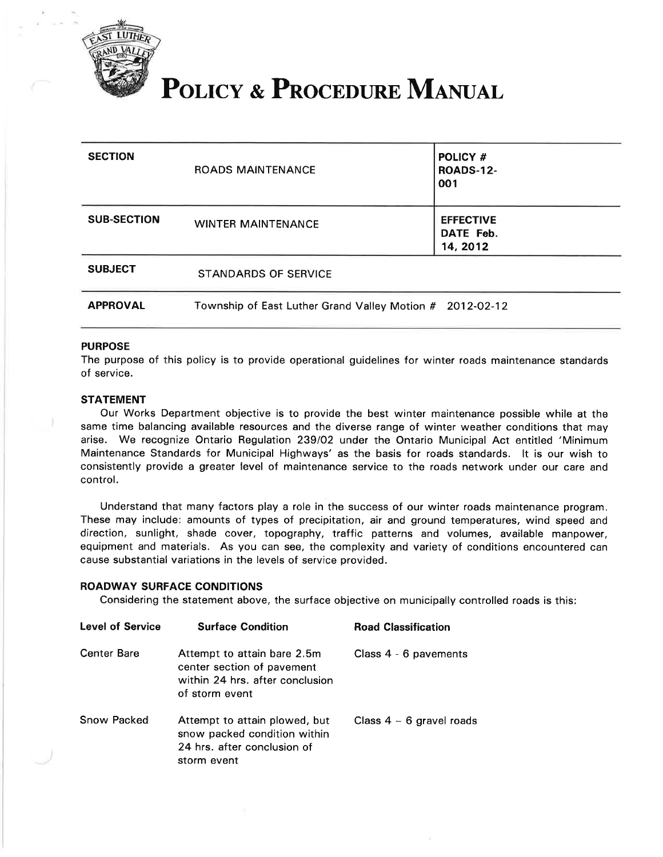

# POLICY & PROCEDURE MANUAL

| <b>SECTION</b>     | <b>ROADS MAINTENANCE</b>                                 | <b>POLICY #</b><br><b>ROADS-12-</b><br>001 |
|--------------------|----------------------------------------------------------|--------------------------------------------|
| <b>SUB-SECTION</b> | <b>WINTER MAINTENANCE</b>                                | <b>EFFECTIVE</b><br>DATE Feb.<br>14, 2012  |
| <b>SUBJECT</b>     | <b>STANDARDS OF SERVICE</b>                              |                                            |
| <b>APPROVAL</b>    | Township of East Luther Grand Valley Motion # 2012-02-12 |                                            |

#### PURPOSE

The purpose of this policy is to provide operational guidelines for winter roads maintenance standards of service.

### STATEMENT

Our Works Department objective is to provide the best winter maintenance possible while at the same time balancing available resources and the diverse range of winter weather conditions that may arise. We recognize Ontario Regulation 239/02 under the Ontario Municipal Act entitled 'Minimum Maintenance Standards for Municipal Highways' as the basis for roads standards. lt is our wish to consistently provide a greater level of maintenance service to the roads network under our care and control.

Understand that many factors play a role in the success of our winter roads maintenance program. These may include: amounts of types of precipitation, air and ground temperatures, wind speed and direction, sunlight, shade cover, topography, traffic patterns and volumes, available manpower, equipment and materials. As you can see, the complexity and variety of conditions encountered can cause substantial variations in the levels of service provided.

### ROADWAY SURFACE CONDITIONS

Considering the statement above, the surface objective on municipally controlled roads is this:

| <b>Level of Service</b> | <b>Surface Condition</b>                                                                                       | <b>Road Classification</b> |
|-------------------------|----------------------------------------------------------------------------------------------------------------|----------------------------|
| <b>Center Bare</b>      | Attempt to attain bare 2.5m<br>center section of pavement<br>within 24 hrs. after conclusion<br>of storm event | Class 4 - 6 pavements      |
| Snow Packed             | Attempt to attain plowed, but<br>snow packed condition within<br>24 hrs. after conclusion of<br>storm event    | Class $4 - 6$ gravel roads |